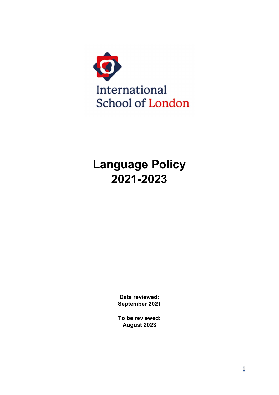

# Language Policy 2021-2023

Date reviewed: September 2021

To be reviewed: August 2023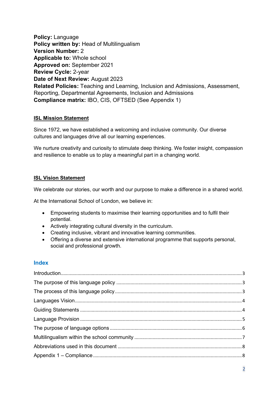Policy: Language Policy written by: Head of Multilingualism Version Number: 2 Applicable to: Whole school Approved on: September 2021 Review Cycle: 2-year Date of Next Review: August 2023 Related Policies: Teaching and Learning, Inclusion and Admissions, Assessment, Reporting, Departmental Agreements, Inclusion and Admissions Compliance matrix: IBO, CIS, OFTSED (See Appendix 1)

#### ISL Mission Statement

Since 1972, we have established a welcoming and inclusive community. Our diverse cultures and languages drive all our learning experiences.

We nurture creativity and curiosity to stimulate deep thinking. We foster insight, compassion and resilience to enable us to play a meaningful part in a changing world.

### ISL Vision Statement

We celebrate our stories, our worth and our purpose to make a difference in a shared world.

At the International School of London, we believe in:

- Empowering students to maximise their learning opportunities and to fulfil their potential.
- Actively integrating cultural diversity in the curriculum.
- Creating inclusive, vibrant and innovative learning communities.
- Offering a diverse and extensive international programme that supports personal, social and professional growth.

## Index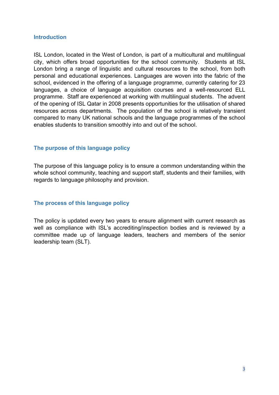#### **Introduction**

ISL London, located in the West of London, is part of a multicultural and multilingual city, which offers broad opportunities for the school community. Students at ISL London bring a range of linguistic and cultural resources to the school, from both personal and educational experiences. Languages are woven into the fabric of the school, evidenced in the offering of a language programme, currently catering for 23 languages, a choice of language acquisition courses and a well-resourced ELL programme. Staff are experienced at working with multilingual students. The advent of the opening of ISL Qatar in 2008 presents opportunities for the utilisation of shared resources across departments. The population of the school is relatively transient compared to many UK national schools and the language programmes of the school enables students to transition smoothly into and out of the school.

### The purpose of this language policy

The purpose of this language policy is to ensure a common understanding within the whole school community, teaching and support staff, students and their families, with regards to language philosophy and provision.

## The process of this language policy

The policy is updated every two years to ensure alignment with current research as well as compliance with ISL's accrediting/inspection bodies and is reviewed by a committee made up of language leaders, teachers and members of the senior leadership team (SLT).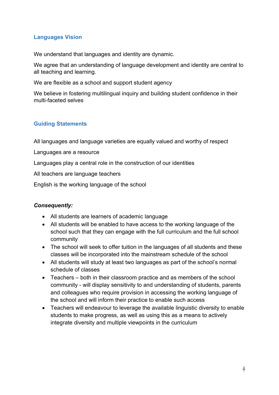# Languages Vision

We understand that languages and identity are dynamic.

We agree that an understanding of language development and identity are central to all teaching and learning.

We are flexible as a school and support student agency

We believe in fostering multilingual inquiry and building student confidence in their multi-faceted selves

# Guiding Statements

All languages and language varieties are equally valued and worthy of respect

Languages are a resource

Languages play a central role in the construction of our identities

All teachers are language teachers

English is the working language of the school

## Consequently:

- All students are learners of academic language
- All students will be enabled to have access to the working language of the school such that they can engage with the full curriculum and the full school community
- The school will seek to offer tuition in the languages of all students and these classes will be incorporated into the mainstream schedule of the school
- All students will study at least two languages as part of the school's normal schedule of classes
- Teachers both in their classroom practice and as members of the school community - will display sensitivity to and understanding of students, parents and colleagues who require provision in accessing the working language of the school and will inform their practice to enable such access
- Teachers will endeavour to leverage the available linguistic diversity to enable students to make progress, as well as using this as a means to actively integrate diversity and multiple viewpoints in the curriculum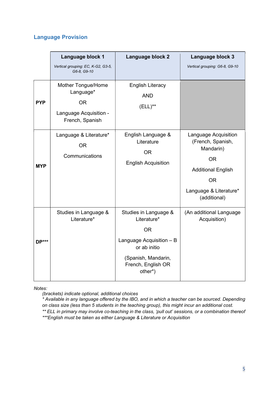# Language Provision

|              | Language block 1                                                                          | Language block 2                                                                                                                                      | Language block 3                                                                                                                                        |
|--------------|-------------------------------------------------------------------------------------------|-------------------------------------------------------------------------------------------------------------------------------------------------------|---------------------------------------------------------------------------------------------------------------------------------------------------------|
|              | Vertical grouping: EC, K-G2, G3-5,<br>G6-8, G9-10                                         |                                                                                                                                                       | Vertical grouping: G6-8, G9-10                                                                                                                          |
| <b>PYP</b>   | Mother Tongue/Home<br>Language*<br><b>OR</b><br>Language Acquisition -<br>French, Spanish | <b>English Literacy</b><br><b>AND</b><br>$(ELL)$ **                                                                                                   |                                                                                                                                                         |
| <b>MYP</b>   | Language & Literature*<br><b>OR</b><br>Communications                                     | English Language &<br>Literature<br><b>OR</b><br><b>English Acquisition</b>                                                                           | Language Acquisition<br>(French, Spanish,<br>Mandarin)<br><b>OR</b><br><b>Additional English</b><br><b>OR</b><br>Language & Literature*<br>(additional) |
| <b>DP***</b> | Studies in Language &<br>Literature*                                                      | Studies in Language &<br>Literature*<br><b>OR</b><br>Language Acquisition - B<br>or ab initio<br>(Spanish, Mandarin,<br>French, English OR<br>other*) | (An additional Language<br>Acquisition)                                                                                                                 |

Notes:

(brackets) indicate optional, additional choices

\* Available in any language offered by the IBO, and in which a teacher can be sourced. Depending on class size (less than 5 students in the teaching group), this might incur an additional cost. \*\* ELL in primary may involve co-teaching in the class, 'pull out' sessions, or a combination thereof \*\*\*English must be taken as either Language & Literature or Acquisition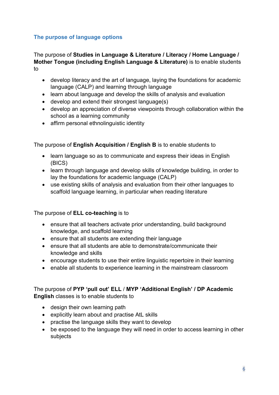# The purpose of language options

## The purpose of Studies in Language & Literature / Literacy / Home Language / Mother Tongue (including English Language & Literature) is to enable students to

- develop literacy and the art of language, laying the foundations for academic language (CALP) and learning through language
- learn about language and develop the skills of analysis and evaluation
- develop and extend their strongest language(s)
- develop an appreciation of diverse viewpoints through collaboration within the school as a learning community
- affirm personal ethnolinguistic identity

The purpose of English Acquisition / English B is to enable students to

- learn language so as to communicate and express their ideas in English (BICS)
- learn through language and develop skills of knowledge building, in order to lay the foundations for academic language (CALP)
- use existing skills of analysis and evaluation from their other languages to scaffold language learning, in particular when reading literature

## The purpose of **ELL co-teaching** is to

- ensure that all teachers activate prior understanding, build background knowledge, and scaffold learning
- ensure that all students are extending their language
- ensure that all students are able to demonstrate/communicate their knowledge and skills
- encourage students to use their entire linguistic repertoire in their learning
- enable all students to experience learning in the mainstream classroom

## The purpose of PYP 'pull out' ELL / MYP 'Additional English' / DP Academic English classes is to enable students to

- design their own learning path
- explicitly learn about and practise AtL skills
- practise the language skills they want to develop
- be exposed to the language they will need in order to access learning in other subjects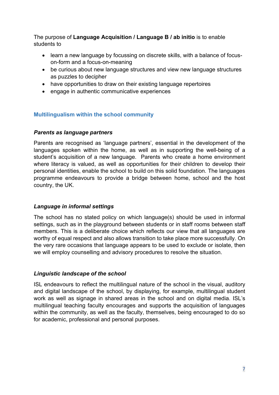The purpose of Language Acquisition / Language B / ab initio is to enable students to

- learn a new language by focussing on discrete skills, with a balance of focuson-form and a focus-on-meaning
- be curious about new language structures and view new language structures as puzzles to decipher
- have opportunities to draw on their existing language repertoires
- engage in authentic communicative experiences

## Multilingualism within the school community

## Parents as language partners

Parents are recognised as 'language partners', essential in the development of the languages spoken within the home, as well as in supporting the well-being of a student's acquisition of a new language. Parents who create a home environment where literacy is valued, as well as opportunities for their children to develop their personal identities, enable the school to build on this solid foundation. The languages programme endeavours to provide a bridge between home, school and the host country, the UK.

## Language in informal settings

The school has no stated policy on which language(s) should be used in informal settings, such as in the playground between students or in staff rooms between staff members. This is a deliberate choice which reflects our view that all languages are worthy of equal respect and also allows transition to take place more successfully. On the very rare occasions that language appears to be used to exclude or isolate, then we will employ counselling and advisory procedures to resolve the situation.

## Linguistic landscape of the school

ISL endeavours to reflect the multilingual nature of the school in the visual, auditory and digital landscape of the school, by displaying, for example, multilingual student work as well as signage in shared areas in the school and on digital media. ISL's multilingual teaching faculty encourages and supports the acquisition of languages within the community, as well as the faculty, themselves, being encouraged to do so for academic, professional and personal purposes.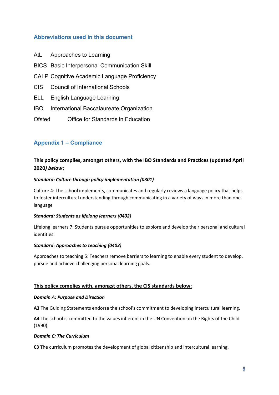## Abbreviations used in this document

- AtL Approaches to Learning
- BICS Basic Interpersonal Communication Skill
- CALP Cognitive Academic Language Proficiency
- CIS Council of International Schools
- ELL English Language Learning
- IBO International Baccalaureate Organization
- Ofsted Office for Standards in Education

### Appendix 1 – Compliance

## This policy complies, amongst others, with the IBO Standards and Practices (updated April 2020) below:

#### Standard: Culture through policy implementation (0301)

Culture 4: The school implements, communicates and regularly reviews a language policy that helps to foster intercultural understanding through communicating in a variety of ways in more than one language

#### Standard: Students as lifelong learners (0402)

Lifelong learners 7: Students pursue opportunities to explore and develop their personal and cultural identities.

#### Standard: Approaches to teaching (0403)

Approaches to teaching 5: Teachers remove barriers to learning to enable every student to develop, pursue and achieve challenging personal learning goals.

#### This policy complies with, amongst others, the CIS standards below:

#### Domain A: Purpose and Direction

A3 The Guiding Statements endorse the school's commitment to developing intercultural learning.

A4 The school is committed to the values inherent in the UN Convention on the Rights of the Child (1990).

#### Domain C: The Curriculum

C3 The curriculum promotes the development of global citizenship and intercultural learning.